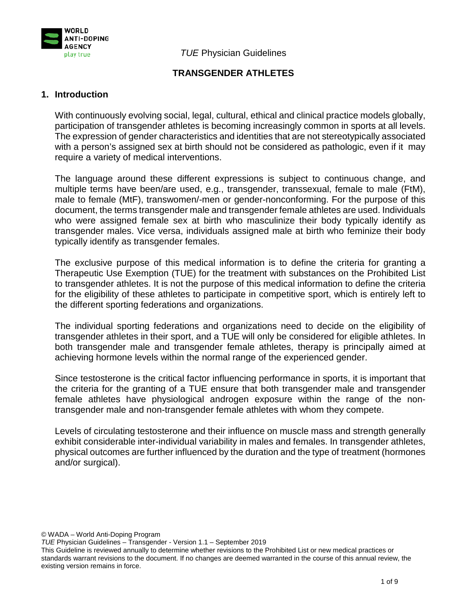

*TUE* Physician Guidelines

# **TRANSGENDER ATHLETES**

### **1. Introduction**

With continuously evolving social, legal, cultural, ethical and clinical practice models globally, participation of transgender athletes is becoming increasingly common in sports at all levels. The expression of gender characteristics and identities that are not stereotypically associated with a person's assigned sex at birth should not be considered as pathologic, even if it may require a variety of medical interventions.

The language around these different expressions is subject to continuous change, and multiple terms have been/are used, e.g., transgender, transsexual, female to male (FtM), male to female (MtF), transwomen/-men or gender-nonconforming. For the purpose of this document, the terms transgender male and transgender female athletes are used. Individuals who were assigned female sex at birth who masculinize their body typically identify as transgender males. Vice versa, individuals assigned male at birth who feminize their body typically identify as transgender females.

The exclusive purpose of this medical information is to define the criteria for granting a Therapeutic Use Exemption (TUE) for the treatment with substances on the Prohibited List to transgender athletes. It is not the purpose of this medical information to define the criteria for the eligibility of these athletes to participate in competitive sport, which is entirely left to the different sporting federations and organizations.

The individual sporting federations and organizations need to decide on the eligibility of transgender athletes in their sport, and a TUE will only be considered for eligible athletes. In both transgender male and transgender female athletes, therapy is principally aimed at achieving hormone levels within the normal range of the experienced gender.

Since testosterone is the critical factor influencing performance in sports, it is important that the criteria for the granting of a TUE ensure that both transgender male and transgender female athletes have physiological androgen exposure within the range of the nontransgender male and non-transgender female athletes with whom they compete.

Levels of circulating testosterone and their influence on muscle mass and strength generally exhibit considerable inter-individual variability in males and females. In transgender athletes, physical outcomes are further influenced by the duration and the type of treatment (hormones and/or surgical).

© WADA – World Anti-Doping Program

*TUE* Physician Guidelines – Transgender - Version 1.1 – September 2019

This Guideline is reviewed annually to determine whether revisions to the Prohibited List or new medical practices or standards warrant revisions to the document. If no changes are deemed warranted in the course of this annual review, the existing version remains in force.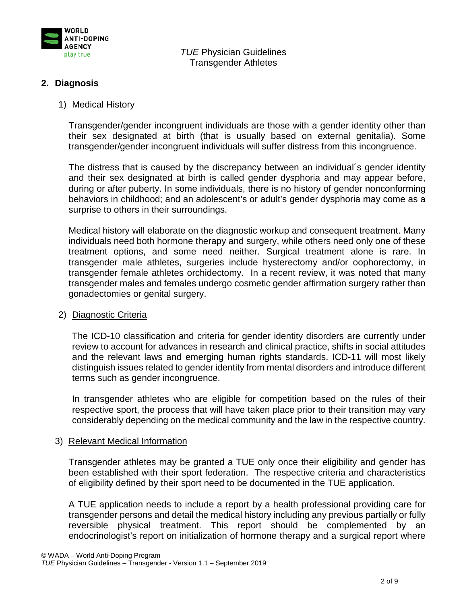

# **2. Diagnosis**

#### 1) Medical History

Transgender/gender incongruent individuals are those with a gender identity other than their sex designated at birth (that is usually based on external genitalia). Some transgender/gender incongruent individuals will suffer distress from this incongruence.

The distress that is caused by the discrepancy between an individual´s gender identity and their sex designated at birth is called gender dysphoria and may appear before, during or after puberty. In some individuals, there is no history of gender nonconforming behaviors in childhood; and an adolescent's or adult's gender dysphoria may come as a surprise to others in their surroundings.

Medical history will elaborate on the diagnostic workup and consequent treatment. Many individuals need both hormone therapy and surgery, while others need only one of these treatment options, and some need neither. Surgical treatment alone is rare. In transgender male athletes, surgeries include hysterectomy and/or oophorectomy, in transgender female athletes orchidectomy. In a recent review, it was noted that many transgender males and females undergo cosmetic gender affirmation surgery rather than gonadectomies or genital surgery.

#### 2) Diagnostic Criteria

The ICD-10 classification and criteria for gender identity disorders are currently under review to account for advances in research and clinical practice, shifts in social attitudes and the relevant laws and emerging human rights standards. ICD-11 will most likely distinguish issues related to gender identity from mental disorders and introduce different terms such as gender incongruence.

In transgender athletes who are eligible for competition based on the rules of their respective sport, the process that will have taken place prior to their transition may vary considerably depending on the medical community and the law in the respective country.

#### 3) Relevant Medical Information

Transgender athletes may be granted a TUE only once their eligibility and gender has been established with their sport federation. The respective criteria and characteristics of eligibility defined by their sport need to be documented in the TUE application.

A TUE application needs to include a report by a health professional providing care for transgender persons and detail the medical history including any previous partially or fully reversible physical treatment. This report should be complemented by an endocrinologist's report on initialization of hormone therapy and a surgical report where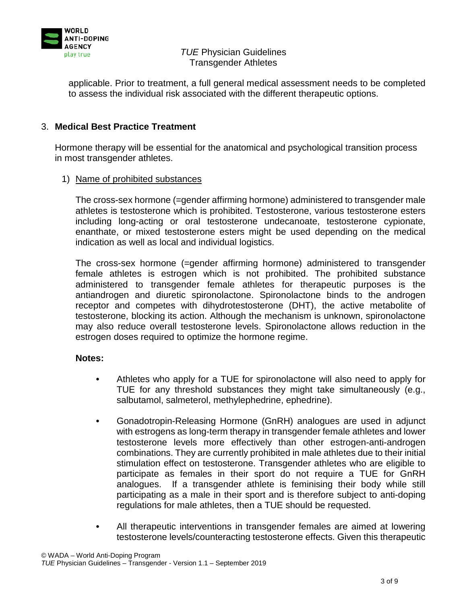

applicable. Prior to treatment, a full general medical assessment needs to be completed to assess the individual risk associated with the different therapeutic options.

# 3. **Medical Best Practice Treatment**

Hormone therapy will be essential for the anatomical and psychological transition process in most transgender athletes.

# 1) Name of prohibited substances

The cross-sex hormone (=gender affirming hormone) administered to transgender male athletes is testosterone which is prohibited. Testosterone, various testosterone esters including long-acting or oral testosterone undecanoate, testosterone cypionate, enanthate, or mixed testosterone esters might be used depending on the medical indication as well as local and individual logistics.

The cross-sex hormone (=gender affirming hormone) administered to transgender female athletes is estrogen which is not prohibited. The prohibited substance administered to transgender female athletes for therapeutic purposes is the antiandrogen and diuretic spironolactone. Spironolactone binds to the androgen receptor and competes with dihydrotestosterone (DHT), the active metabolite of testosterone, blocking its action. Although the mechanism is unknown, spironolactone may also reduce overall testosterone levels. Spironolactone allows reduction in the estrogen doses required to optimize the hormone regime.

#### **Notes:**

- **•** Athletes who apply for a TUE for spironolactone will also need to apply for TUE for any threshold substances they might take simultaneously (e.g., salbutamol, salmeterol, methylephedrine, ephedrine).
- **•** Gonadotropin-Releasing Hormone (GnRH) analogues are used in adjunct with estrogens as long-term therapy in transgender female athletes and lower testosterone levels more effectively than other estrogen-anti-androgen combinations. They are currently prohibited in male athletes due to their initial stimulation effect on testosterone. Transgender athletes who are eligible to participate as females in their sport do not require a TUE for GnRH analogues. If a transgender athlete is feminising their body while still participating as a male in their sport and is therefore subject to anti-doping regulations for male athletes, then a TUE should be requested.
- **•** All therapeutic interventions in transgender females are aimed at lowering testosterone levels/counteracting testosterone effects. Given this therapeutic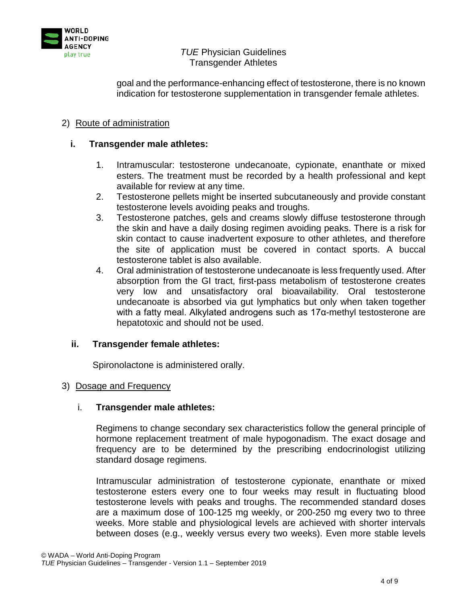

goal and the performance-enhancing effect of testosterone, there is no known indication for testosterone supplementation in transgender female athletes.

# 2) Route of administration

# **i. Transgender male athletes:**

- 1. Intramuscular: testosterone undecanoate, cypionate, enanthate or mixed esters. The treatment must be recorded by a health professional and kept available for review at any time.
- 2. Testosterone pellets might be inserted subcutaneously and provide constant testosterone levels avoiding peaks and troughs.
- 3. Testosterone patches, gels and creams slowly diffuse testosterone through the skin and have a daily dosing regimen avoiding peaks. There is a risk for skin contact to cause inadvertent exposure to other athletes, and therefore the site of application must be covered in contact sports. A buccal testosterone tablet is also available.
- 4. Oral administration of testosterone undecanoate is less frequently used. After absorption from the GI tract, first-pass metabolism of testosterone creates very low and unsatisfactory oral bioavailability. Oral testosterone undecanoate is absorbed via gut lymphatics but only when taken together with a fatty meal. Alkylated androgens such as 17α-methyl testosterone are hepatotoxic and should not be used.

# **ii. Transgender female athletes:**

Spironolactone is administered orally.

# 3) Dosage and Frequency

#### i. **Transgender male athletes:**

Regimens to change secondary sex characteristics follow the general principle of hormone replacement treatment of male hypogonadism. The exact dosage and frequency are to be determined by the prescribing endocrinologist utilizing standard dosage regimens.

Intramuscular administration of testosterone cypionate, enanthate or mixed testosterone esters every one to four weeks may result in fluctuating blood testosterone levels with peaks and troughs. The recommended standard doses are a maximum dose of 100-125 mg weekly, or 200-250 mg every two to three weeks. More stable and physiological levels are achieved with shorter intervals between doses (e.g., weekly versus every two weeks). Even more stable levels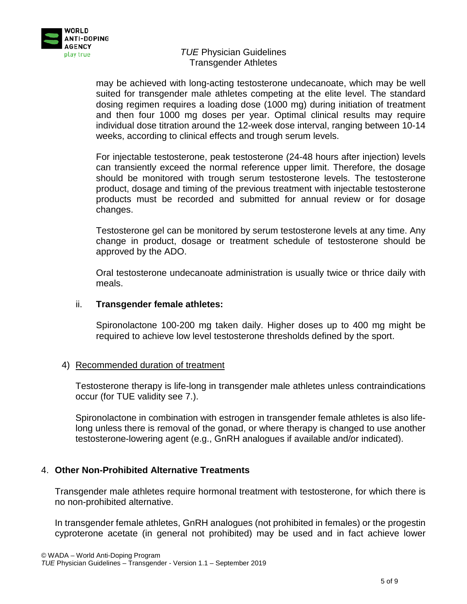

may be achieved with long-acting testosterone undecanoate, which may be well suited for transgender male athletes competing at the elite level. The standard dosing regimen requires a loading dose (1000 mg) during initiation of treatment and then four 1000 mg doses per year. Optimal clinical results may require individual dose titration around the 12-week dose interval, ranging between 10-14 weeks, according to clinical effects and trough serum levels.

For injectable testosterone, peak testosterone (24-48 hours after injection) levels can transiently exceed the normal reference upper limit. Therefore, the dosage should be monitored with trough serum testosterone levels. The testosterone product, dosage and timing of the previous treatment with injectable testosterone products must be recorded and submitted for annual review or for dosage changes.

Testosterone gel can be monitored by serum testosterone levels at any time. Any change in product, dosage or treatment schedule of testosterone should be approved by the ADO.

Oral testosterone undecanoate administration is usually twice or thrice daily with meals.

# ii. **Transgender female athletes:**

Spironolactone 100-200 mg taken daily. Higher doses up to 400 mg might be required to achieve low level testosterone thresholds defined by the sport.

# 4) Recommended duration of treatment

Testosterone therapy is life-long in transgender male athletes unless contraindications occur (for TUE validity see 7.).

Spironolactone in combination with estrogen in transgender female athletes is also lifelong unless there is removal of the gonad, or where therapy is changed to use another testosterone-lowering agent (e.g., GnRH analogues if available and/or indicated).

# 4. **Other Non-Prohibited Alternative Treatments**

Transgender male athletes require hormonal treatment with testosterone, for which there is no non-prohibited alternative.

In transgender female athletes, GnRH analogues (not prohibited in females) or the progestin cyproterone acetate (in general not prohibited) may be used and in fact achieve lower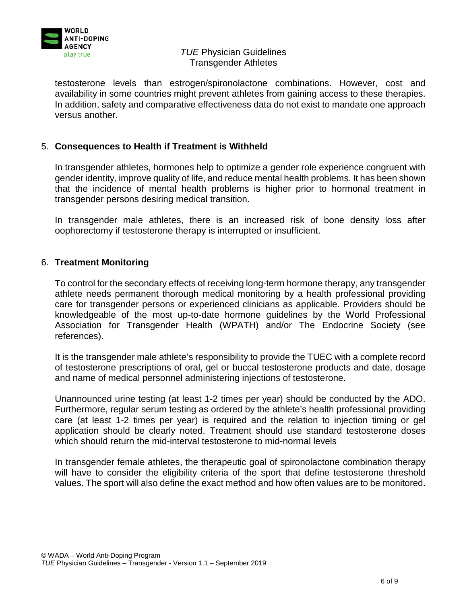

testosterone levels than estrogen/spironolactone combinations. However, cost and availability in some countries might prevent athletes from gaining access to these therapies. In addition, safety and comparative effectiveness data do not exist to mandate one approach versus another.

# 5. **Consequences to Health if Treatment is Withheld**

In transgender athletes, hormones help to optimize a gender role experience congruent with gender identity, improve quality of life, and reduce mental health problems. It has been shown that the incidence of mental health problems is higher prior to hormonal treatment in transgender persons desiring medical transition.

In transgender male athletes, there is an increased risk of bone density loss after oophorectomy if testosterone therapy is interrupted or insufficient.

### 6. **Treatment Monitoring**

To control for the secondary effects of receiving long-term hormone therapy, any transgender athlete needs permanent thorough medical monitoring by a health professional providing care for transgender persons or experienced clinicians as applicable. Providers should be knowledgeable of the most up-to-date hormone guidelines by the World Professional Association for Transgender Health (WPATH) and/or The Endocrine Society (see references).

It is the transgender male athlete's responsibility to provide the TUEC with a complete record of testosterone prescriptions of oral, gel or buccal testosterone products and date, dosage and name of medical personnel administering injections of testosterone.

Unannounced urine testing (at least 1-2 times per year) should be conducted by the ADO. Furthermore, regular serum testing as ordered by the athlete's health professional providing care (at least 1-2 times per year) is required and the relation to injection timing or gel application should be clearly noted. Treatment should use standard testosterone doses which should return the mid-interval testosterone to mid-normal levels

In transgender female athletes, the therapeutic goal of spironolactone combination therapy will have to consider the eligibility criteria of the sport that define testosterone threshold values. The sport will also define the exact method and how often values are to be monitored.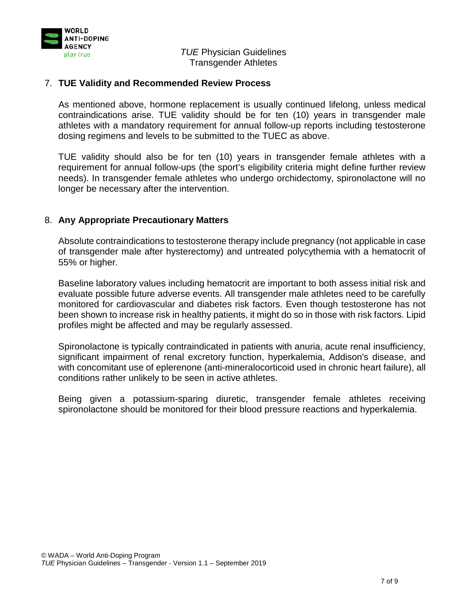

### 7. **TUE Validity and Recommended Review Process**

As mentioned above, hormone replacement is usually continued lifelong, unless medical contraindications arise. TUE validity should be for ten (10) years in transgender male athletes with a mandatory requirement for annual follow-up reports including testosterone dosing regimens and levels to be submitted to the TUEC as above.

TUE validity should also be for ten (10) years in transgender female athletes with a requirement for annual follow-ups (the sport's eligibility criteria might define further review needs). In transgender female athletes who undergo orchidectomy, spironolactone will no longer be necessary after the intervention.

### 8. **Any Appropriate Precautionary Matters**

Absolute contraindications to testosterone therapy include pregnancy (not applicable in case of transgender male after hysterectomy) and untreated polycythemia with a hematocrit of 55% or higher.

Baseline laboratory values including hematocrit are important to both assess initial risk and evaluate possible future adverse events. All transgender male athletes need to be carefully monitored for cardiovascular and diabetes risk factors. Even though testosterone has not been shown to increase risk in healthy patients, it might do so in those with risk factors. Lipid profiles might be affected and may be regularly assessed.

Spironolactone is typically contraindicated in patients with anuria, acute renal insufficiency, significant impairment of renal excretory function, hyperkalemia, Addison's disease, and with concomitant use of eplerenone (anti-mineralocorticoid used in chronic heart failure), all conditions rather unlikely to be seen in active athletes.

Being given a potassium-sparing diuretic, transgender female athletes receiving spironolactone should be monitored for their blood pressure reactions and hyperkalemia.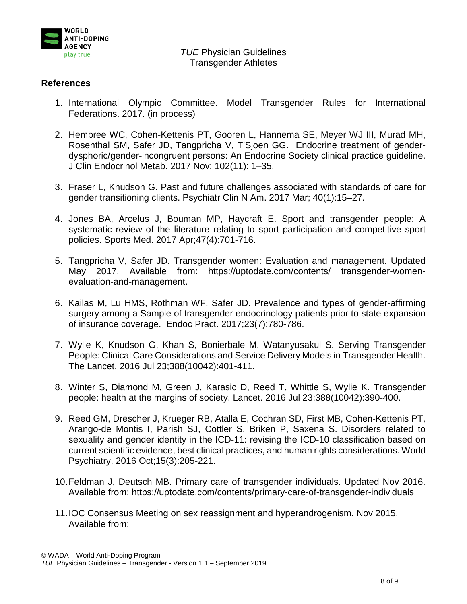

### **References**

- 1. International Olympic Committee. Model Transgender Rules for International Federations. 2017. (in process)
- 2. Hembree WC, Cohen-Kettenis PT, Gooren L, Hannema SE, Meyer WJ III, Murad MH, Rosenthal SM, Safer JD, Tangpricha V, T'Sjoen GG. Endocrine treatment of genderdysphoric/gender-incongruent persons: An Endocrine Society clinical practice guideline. J Clin Endocrinol Metab. 2017 Nov; 102(11): 1–35.
- 3. Fraser L, Knudson G. Past and future challenges associated with standards of care for gender transitioning clients. Psychiatr Clin N Am. 2017 Mar; 40(1):15–27.
- 4. Jones BA, Arcelus J, Bouman MP, Haycraft E. Sport and transgender people: A systematic review of the literature relating to sport participation and competitive sport policies. Sports Med. 2017 Apr;47(4):701-716.
- 5. Tangpricha V, Safer JD. Transgender women: Evaluation and management. Updated May 2017. Available from: https://uptodate.com/contents/ transgender-womenevaluation-and-management.
- 6. Kailas M, Lu HMS, Rothman WF, Safer JD. Prevalence and types of gender-affirming surgery among a Sample of transgender endocrinology patients prior to state expansion of insurance coverage. Endoc Pract. 2017;23(7):780-786.
- 7. Wylie K, Knudson G, Khan S, Bonierbale M, Watanyusakul S. Serving Transgender People: Clinical Care Considerations and Service Delivery Models in Transgender Health. The Lancet. 2016 Jul 23;388(10042):401-411.
- 8. Winter S, Diamond M, Green J, Karasic D, Reed T, Whittle S, Wylie K. Transgender people: health at the margins of society. Lancet. 2016 Jul 23;388(10042):390-400.
- 9. Reed GM, Drescher J, Krueger RB, Atalla E, Cochran SD, First MB, Cohen-Kettenis PT, Arango-de Montis I, Parish SJ, Cottler S, Briken P, Saxena S. Disorders related to sexuality and gender identity in the ICD-11: revising the ICD-10 classification based on current scientific evidence, best clinical practices, and human rights considerations. World Psychiatry. 2016 Oct;15(3):205-221.
- 10.Feldman J, Deutsch MB. Primary care of transgender individuals. Updated Nov 2016. Available from: https://uptodate.com/contents/primary-care-of-transgender-individuals
- 11.IOC Consensus Meeting on sex reassignment and hyperandrogenism. Nov 2015. Available from: